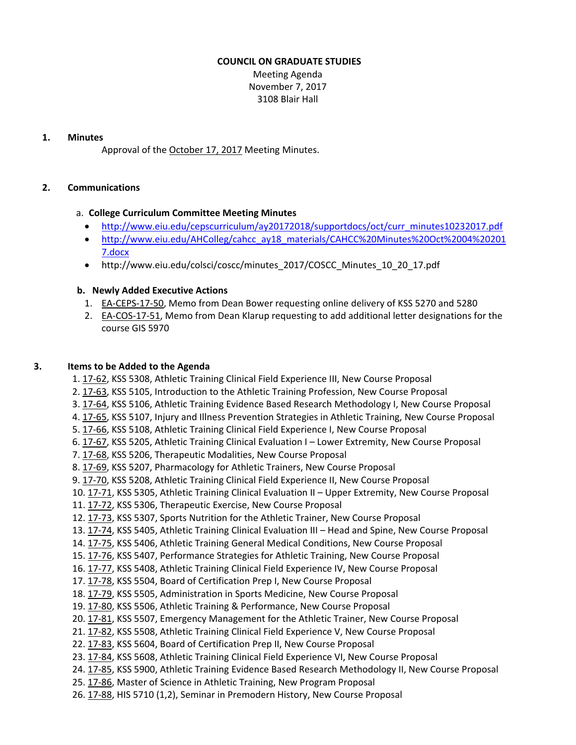## **COUNCIL ON GRADUATE STUDIES**

Meeting Agenda November 7, 2017 3108 Blair Hall

### **1. Minutes**

Approval of the [October](http://castle.eiu.edu/eiucgs/currentminutes/Minutes10-17-17.pdf) 17, 2017 Meeting Minutes.

# **2. Communications**

## a. **College Curriculum Committee Meeting Minutes**

- [http://www.eiu.edu/cepscurriculum/ay20172018/supportdocs/oct/curr\\_minutes10232017.pdf](http://www.eiu.edu/cepscurriculum/ay20172018/supportdocs/oct/curr_minutes10232017.pdf)
- [http://www.eiu.edu/AHColleg/cahcc\\_ay18\\_materials/CAHCC%20Minutes%20Oct%2004%20201](http://www.eiu.edu/AHColleg/cahcc_ay18_materials/CAHCC%20Minutes%20Oct%2004%20201) 7.docx
- [http://www.eiu.edu/colsci/coscc/minutes\\_2017/COSCC\\_Minutes\\_10\\_20\\_17.pdf](http://www.eiu.edu/colsci/coscc/minutes_2017/COSCC_Minutes_10_20_17.pdf)

# **b. Newly Added Executive Actions**

- 1. EA‐[CEPS](http://castle.eiu.edu/eiucgs/exec-actions/EA-CEPS-17-50.pdf)‐17‐50, Memo from Dean Bower requesting online delivery of KSS 5270 and 5280
- 2. EA‐[COS](http://castle.eiu.edu/eiucgs/exec-actions/EA-COS-17-51.pdf)‐17‐51, Memo from Dean Klarup requesting to add additional letter designations for the course GIS 5970

# **3. Items to be Added to the Agenda**

- 1. 17‐[62,](http://castle.eiu.edu/eiucgs/currentagendaitems/agenda17-62.pdf) KSS 5308, Athletic Training Clinical Field Experience III, New Course Proposal
- 2. [17](http://castle.eiu.edu/eiucgs/currentagendaitems/agenda17-63.pdf)‐63, KSS 5105, Introduction to the Athletic Training Profession, New Course Proposal
- 3. 17‐[64,](http://castle.eiu.edu/eiucgs/currentagendaitems/agenda17-64.pdf) KSS 5106, Athletic Training Evidence Based Research Methodology I, New Course Proposal
- 4. 17‐[65,](http://castle.eiu.edu/eiucgs/currentagendaitems/agenda17-65.pdf) KSS 5107, Injury and Illness Prevention Strategies in Athletic Training, New Course Proposal
- 5. [17](http://castle.eiu.edu/eiucgs/currentagendaitems/agenda17-66.pdf)‐66, KSS 5108, Athletic Training Clinical Field Experience I, New Course Proposal
- 6. 17‐[67,](http://castle.eiu.edu/eiucgs/currentagendaitems/agenda17-67.pdf) KSS 5205, Athletic Training Clinical Evaluation I Lower Extremity, New Course Proposal
- 7. [17](http://castle.eiu.edu/eiucgs/currentagendaitems/agenda17-68.pdf)‐68, KSS 5206, Therapeutic Modalities, New Course Proposal
- 8. 17‐[69,](http://castle.eiu.edu/eiucgs/currentagendaitems/agenda17-69.pdf) KSS 5207, Pharmacology for Athletic Trainers, New Course Proposal
- 9. 17-[70,](http://castle.eiu.edu/eiucgs/currentagendaitems/agenda17-70.pdf) KSS 5208, Athletic Training Clinical Field Experience II, New Course Proposal
- 10. [17](http://castle.eiu.edu/eiucgs/currentagendaitems/agenda17-71.pdf)‐71, KSS 5305, Athletic Training Clinical Evaluation II Upper Extremity, New Course Proposal
- 11. 17‐[72,](http://castle.eiu.edu/eiucgs/currentagendaitems/agenda17-72.pdf) KSS 5306, Therapeutic Exercise, New Course Proposal
- 12. 17‐[73,](http://castle.eiu.edu/eiucgs/currentagendaitems/agenda17-73.pdf) KSS 5307, Sports Nutrition for the Athletic Trainer, New Course Proposal
- 13. 17‐[74,](http://castle.eiu.edu/eiucgs/currentagendaitems/agenda17-74.pdf) KSS 5405, Athletic Training Clinical Evaluation III Head and Spine, New Course Proposal
- 14. 17‐[75,](http://castle.eiu.edu/eiucgs/currentagendaitems/agenda17-75.pdf) KSS 5406, Athletic Training General Medical Conditions, New Course Proposal
- 15. 17‐[76,](http://castle.eiu.edu/eiucgs/currentagendaitems/agenda17-76.pdf) KSS 5407, Performance Strategies for Athletic Training, New Course Proposal
- 16. 17‐[77,](http://castle.eiu.edu/eiucgs/currentagendaitems/agenda17-77.pdf) KSS 5408, Athletic Training Clinical Field Experience IV, New Course Proposal
- 17. 17‐[78,](http://castle.eiu.edu/eiucgs/currentagendaitems/agenda17-78.pdf) KSS 5504, Board of Certification Prep I, New Course Proposal
- 18. 17‐[79,](http://castle.eiu.edu/eiucgs/currentagendaitems/agenda17-79.pdf) KSS 5505, Administration in Sports Medicine, New Course Proposal
- 19. 17‐[80,](http://castle.eiu.edu/eiucgs/currentagendaitems/agenda17-80.pdf) KSS 5506, Athletic Training & Performance, New Course Proposal
- 20. 17-[81,](http://castle.eiu.edu/eiucgs/currentagendaitems/agenda17-81.pdf) KSS 5507, Emergency Management for the Athletic Trainer, New Course Proposal
- 21. 17-[82,](http://castle.eiu.edu/eiucgs/currentagendaitems/agenda17-82.pdf) KSS 5508, Athletic Training Clinical Field Experience V, New Course Proposal
- 22. 17‐[83,](http://castle.eiu.edu/eiucgs/currentagendaitems/agenda17-83.pdf) KSS 5604, Board of Certification Prep II, New Course Proposal
- 23. 17-[84,](http://castle.eiu.edu/eiucgs/currentagendaitems/agenda17-84.pdf) KSS 5608, Athletic Training Clinical Field Experience VI, New Course Proposal
- 24. 17‐[85,](http://castle.eiu.edu/eiucgs/currentagendaitems/agenda17-85.pdf) KSS 5900, Athletic Training Evidence Based Research Methodology II, New Course Proposal
- 25. 17‐[86,](http://castle.eiu.edu/eiucgs/currentagendaitems/agenda17-86.pdf) Master of Science in Athletic Training, New Program Proposal
- 26. 17‐[88,](http://castle.eiu.edu/eiucgs/currentagendaitems/agenda17-88.pdf) HIS 5710 (1,2), Seminar in Premodern History, New Course Proposal